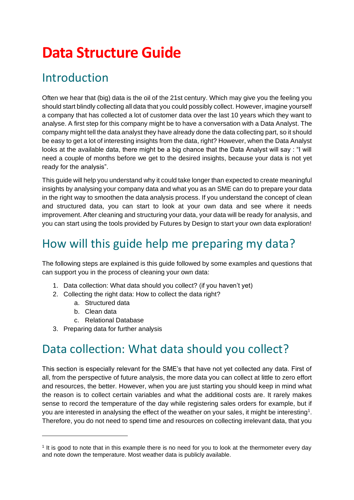# **Data Structure Guide**

## Introduction

Often we hear that (big) data is the oil of the 21st century. Which may give you the feeling you should start blindly collecting all data that you could possibly collect. However, imagine yourself a company that has collected a lot of customer data over the last 10 years which they want to analyse. A first step for this company might be to have a conversation with a Data Analyst. The company might tell the data analyst they have already done the data collecting part, so it should be easy to get a lot of interesting insights from the data, right? However, when the Data Analyst looks at the available data, there might be a big chance that the Data Analyst will say : "I will need a couple of months before we get to the desired insights, because your data is not yet ready for the analysis".

This guide will help you understand why it could take longer than expected to create meaningful insights by analysing your company data and what you as an SME can do to prepare your data in the right way to smoothen the data analysis process. If you understand the concept of clean and structured data, you can start to look at your own data and see where it needs improvement. After cleaning and structuring your data, your data will be ready for analysis, and you can start using the tools provided by Futures by Design to start your own data exploration!

## How will this guide help me preparing my data?

The following steps are explained is this guide followed by some examples and questions that can support you in the process of cleaning your own data:

- 1. Data collection: What data should you collect? (if you haven't yet)
- 2. Collecting the right data: How to collect the data right?
	- a. Structured data
	- b. Clean data
	- c. Relational Database
- 3. Preparing data for further analysis

## Data collection: What data should you collect?

This section is especially relevant for the SME's that have not yet collected any data. First of all, from the perspective of future analysis, the more data you can collect at little to zero effort and resources, the better. However, when you are just starting you should keep in mind what the reason is to collect certain variables and what the additional costs are. It rarely makes sense to record the temperature of the day while registering sales orders for example, but if you are interested in analysing the effect of the weather on your sales, it might be interesting<sup>1</sup>. Therefore, you do not need to spend time and resources on collecting irrelevant data, that you

<sup>&</sup>lt;sup>1</sup> It is good to note that in this example there is no need for you to look at the thermometer every day and note down the temperature. Most weather data is publicly available.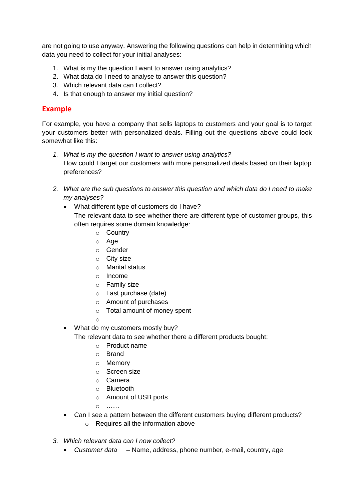are not going to use anyway. Answering the following questions can help in determining which data you need to collect for your initial analyses:

- 1. What is my the question I want to answer using analytics?
- 2. What data do I need to analyse to answer this question?
- 3. Which relevant data can I collect?
- 4. Is that enough to answer my initial question?

### **Example**

For example, you have a company that sells laptops to customers and your goal is to target your customers better with personalized deals. Filling out the questions above could look somewhat like this:

- *1. What is my the question I want to answer using analytics?* How could I target our customers with more personalized deals based on their laptop preferences?
- *2. What are the sub questions to answer this question and which data do I need to make my analyses?*
	- What different type of customers do I have?

The relevant data to see whether there are different type of customer groups, this often requires some domain knowledge:

- o Country
- o Age
- o Gender
- $\circ$  City size
- o Marital status
- o Income
- o Family size
- o Last purchase (date)
- o Amount of purchases
- o Total amount of money spent
- o …..
- What do my customers mostly buy?

The relevant data to see whether there a different products bought:

- o Product name
- o Brand
- o Memory
- o Screen size
- o Camera
- o Bluetooth
- o Amount of USB ports
- o ……
- Can I see a pattern between the different customers buying different products? o Requires all the information above
- *3. Which relevant data can I now collect?*
	- *Customer data*  Name, address, phone number, e-mail, country, age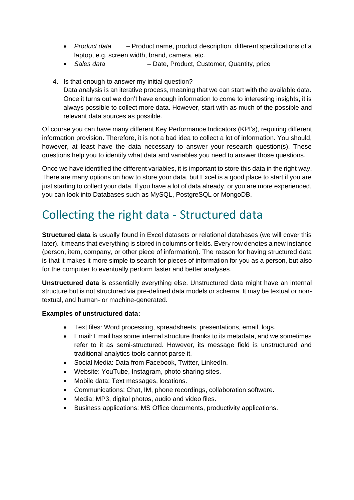- *Product data* Product name, product description, different specifications of a laptop, e.g. screen width, brand, camera, etc.
- *Sales data* Date, Product, Customer, Quantity, price
- 4. Is that enough to answer my initial question? Data analysis is an iterative process, meaning that we can start with the available data. Once it turns out we don't have enough information to come to interesting insights, it is always possible to collect more data. However, start with as much of the possible and relevant data sources as possible.

Of course you can have many different Key Performance Indicators (KPI's), requiring different information provision. Therefore, it is not a bad idea to collect a lot of information. You should, however, at least have the data necessary to answer your research question(s). These questions help you to identify what data and variables you need to answer those questions.

Once we have identified the different variables, it is important to store this data in the right way. There are many options on how to store your data, but Excel is a good place to start if you are just starting to collect your data. If you have a lot of data already, or you are more experienced, you can look into Databases such as MySQL, PostgreSQL or MongoDB.

## Collecting the right data - Structured data

**Structured data** is usually found in Excel datasets or relational databases (we will cover this later). It means that everything is stored in columns or fields. Every row denotes a new instance (person, item, company, or other piece of information). The reason for having structured data is that it makes it more simple to search for pieces of information for you as a person, but also for the computer to eventually perform faster and better analyses.

**Unstructured data** is essentially everything else. Unstructured data might have an internal structure but is not structured via pre-defined data models or schema. It may be textual or nontextual, and human- or machine-generated.

#### **Examples of unstructured data:**

- Text files: Word processing, spreadsheets, presentations, email, logs.
- Email: Email has some internal structure thanks to its metadata, and we sometimes refer to it as semi-structured. However, its message field is unstructured and traditional analytics tools cannot parse it.
- Social Media: Data from Facebook, Twitter, LinkedIn.
- Website: YouTube, Instagram, photo sharing sites.
- Mobile data: Text messages, locations.
- Communications: Chat, IM, phone recordings, collaboration software.
- Media: MP3, digital photos, audio and video files.
- Business applications: MS Office documents, productivity applications.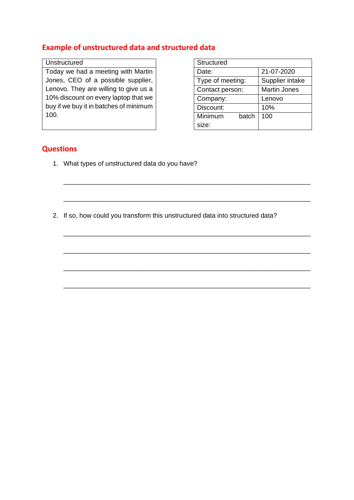## **Example of unstructured data and structured data**

#### Unstructured

Today we had a meeting with Martin Jones, CEO of a possible supplier, Lenovo. They are willing to give us a 10% discount on every laptop that we buy if we buy it in batches of minimum 100.

| Structured       |                     |  |  |  |  |  |  |
|------------------|---------------------|--|--|--|--|--|--|
| Date:            | 21-07-2020          |  |  |  |  |  |  |
| Type of meeting: | Supplier intake     |  |  |  |  |  |  |
| Contact person:  | <b>Martin Jones</b> |  |  |  |  |  |  |
| Company:         | Lenovo              |  |  |  |  |  |  |
| Discount:        | 10%                 |  |  |  |  |  |  |
| Minimum<br>batch | 100                 |  |  |  |  |  |  |
| size:            |                     |  |  |  |  |  |  |

#### **Questions**

- 1. What types of unstructured data do you have?
- 2. If so, how could you transform this unstructured data into structured data?

\_\_\_\_\_\_\_\_\_\_\_\_\_\_\_\_\_\_\_\_\_\_\_\_\_\_\_\_\_\_\_\_\_\_\_\_\_\_\_\_\_\_\_\_\_\_\_\_\_\_\_\_\_\_\_\_\_\_\_\_\_\_\_\_\_\_\_\_

\_\_\_\_\_\_\_\_\_\_\_\_\_\_\_\_\_\_\_\_\_\_\_\_\_\_\_\_\_\_\_\_\_\_\_\_\_\_\_\_\_\_\_\_\_\_\_\_\_\_\_\_\_\_\_\_\_\_\_\_\_\_\_\_\_\_\_\_

\_\_\_\_\_\_\_\_\_\_\_\_\_\_\_\_\_\_\_\_\_\_\_\_\_\_\_\_\_\_\_\_\_\_\_\_\_\_\_\_\_\_\_\_\_\_\_\_\_\_\_\_\_\_\_\_\_\_\_\_\_\_\_\_\_\_\_\_

\_\_\_\_\_\_\_\_\_\_\_\_\_\_\_\_\_\_\_\_\_\_\_\_\_\_\_\_\_\_\_\_\_\_\_\_\_\_\_\_\_\_\_\_\_\_\_\_\_\_\_\_\_\_\_\_\_\_\_\_\_\_\_\_\_\_\_\_

\_\_\_\_\_\_\_\_\_\_\_\_\_\_\_\_\_\_\_\_\_\_\_\_\_\_\_\_\_\_\_\_\_\_\_\_\_\_\_\_\_\_\_\_\_\_\_\_\_\_\_\_\_\_\_\_\_\_\_\_\_\_\_\_\_\_\_\_

\_\_\_\_\_\_\_\_\_\_\_\_\_\_\_\_\_\_\_\_\_\_\_\_\_\_\_\_\_\_\_\_\_\_\_\_\_\_\_\_\_\_\_\_\_\_\_\_\_\_\_\_\_\_\_\_\_\_\_\_\_\_\_\_\_\_\_\_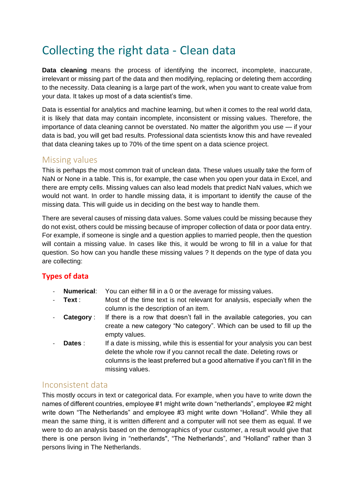## Collecting the right data - Clean data

**Data cleaning** means the process of identifying the incorrect, incomplete, inaccurate, irrelevant or missing part of the data and then modifying, replacing or deleting them according to the necessity. Data cleaning is a large part of the work, when you want to create value from your data. It takes up most of a data scientist's time.

Data is essential for analytics and machine learning, but when it comes to the real world data, it is likely that data may contain incomplete, inconsistent or missing values. Therefore, the importance of data cleaning cannot be overstated. No matter the algorithm you use — if your data is bad, you will get bad results. Professional data scientists know this and have revealed that data cleaning takes up to 70% of the time spent on a data science project.

### Missing values

This is perhaps the most common trait of unclean data. These values usually take the form of NaN or None in a table. This is, for example, the case when you open your data in Excel, and there are empty cells. Missing values can also lead models that predict NaN values, which we would not want. In order to handle missing data, it is important to identify the cause of the missing data. This will guide us in deciding on the best way to handle them.

There are several causes of missing data values. Some values could be missing because they do not exist, others could be missing because of improper collection of data or poor data entry. For example, if someone is single and a question applies to married people, then the question will contain a missing value. In cases like this, it would be wrong to fill in a value for that question. So how can you handle these missing values ? It depends on the type of data you are collecting:

### **Types of data**

- **Numerical:** You can either fill in a 0 or the average for missing values.
- **Text** : Most of the time text is not relevant for analysis, especially when the column is the description of an item.
- **Category** : If there is a row that doesn't fall in the available categories, you can create a new category "No category". Which can be used to fill up the empty values.
- **Dates** : If a date is missing, while this is essential for your analysis you can best delete the whole row if you cannot recall the date. Deleting rows or columns is the least preferred but a good alternative if you can't fill in the missing values.

## Inconsistent data

This mostly occurs in text or categorical data. For example, when you have to write down the names of different countries, employee #1 might write down "netherlands", employee #2 might write down "The Netherlands" and employee #3 might write down "Holland". While they all mean the same thing, it is written different and a computer will not see them as equal. If we were to do an analysis based on the demographics of your customer, a result would give that there is one person living in "netherlands", "The Netherlands", and "Holland" rather than 3 persons living in The Netherlands.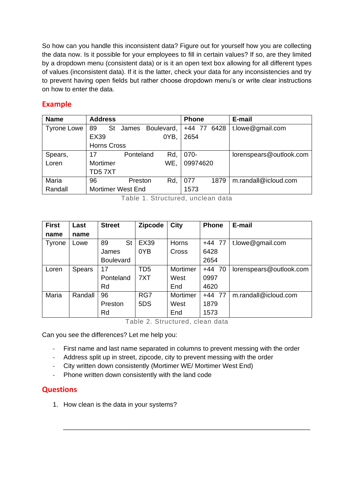So how can you handle this inconsistent data? Figure out for yourself how you are collecting the data now. Is it possible for your employees to fill in certain values? If so, are they limited by a dropdown menu (consistent data) or is it an open text box allowing for all different types of values (inconsistent data). If it is the latter, check your data for any inconsistencies and try to prevent having open fields but rather choose dropdown menu's or write clear instructions on how to enter the data.

### **Example**

| <b>Name</b>        | <b>Address</b>     |                          |            | <b>Phone</b> |             | E-mail                  |
|--------------------|--------------------|--------------------------|------------|--------------|-------------|-------------------------|
| <b>Tyrone Lowe</b> | St<br>89           | James                    | Boulevard, |              | +44 77 6428 | t.lowe@gmail.com        |
|                    | <b>EX39</b>        |                          | OYB,       | 2654         |             |                         |
|                    | <b>Horns Cross</b> |                          |            |              |             |                         |
| Spears,            | 17                 | Ponteland                | Rd,        | 070-         |             | lorenspears@outlook.com |
| Loren              | Mortimer           |                          | WE,        | 09974620     |             |                         |
|                    | TD57XT             |                          |            |              |             |                         |
| Maria              | 96                 | Preston                  | Rd.        | 077          | 1879        | m.randall@icloud.com    |
| Randall            |                    | <b>Mortimer West End</b> |            | 1573         |             |                         |

Table 1. Structured, unclean data

| <b>First</b> | Last          | <b>Street</b>    | <b>Zipcode</b>  | City     | <b>Phone</b> | E-mail                  |
|--------------|---------------|------------------|-----------------|----------|--------------|-------------------------|
| name         | name          |                  |                 |          |              |                         |
| Tyrone       | Lowe          | 89<br>St         | <b>EX39</b>     | Horns    | $+44$ 77     | t.lowe@gmail.com        |
|              |               | James            | 0YB             | Cross    | 6428         |                         |
|              |               | <b>Boulevard</b> |                 |          | 2654         |                         |
| Loren        | <b>Spears</b> | 17               | TD <sub>5</sub> | Mortimer | $+44$ 70     | lorenspears@outlook.com |
|              |               | Ponteland        | 7XT             | West     | 0997         |                         |
|              |               | Rd               |                 | End      | 4620         |                         |
| Maria        | Randall       | 96               | RG7             | Mortimer | $+44$ 77     | m.randall@icloud.com    |
|              |               | Preston          | 5DS             | West     | 1879         |                         |
|              |               | Rd               |                 | End      | 1573         |                         |

Table 2. Structured, clean data

Can you see the differences? Let me help you:

- First name and last name separated in columns to prevent messing with the order

\_\_\_\_\_\_\_\_\_\_\_\_\_\_\_\_\_\_\_\_\_\_\_\_\_\_\_\_\_\_\_\_\_\_\_\_\_\_\_\_\_\_\_\_\_\_\_\_\_\_\_\_\_\_\_\_\_\_\_\_\_\_\_\_\_\_\_\_

- Address split up in street, zipcode, city to prevent messing with the order
- City written down consistently (Mortimer WE/ Mortimer West End)
- Phone written down consistently with the land code

### **Questions**

1. How clean is the data in your systems?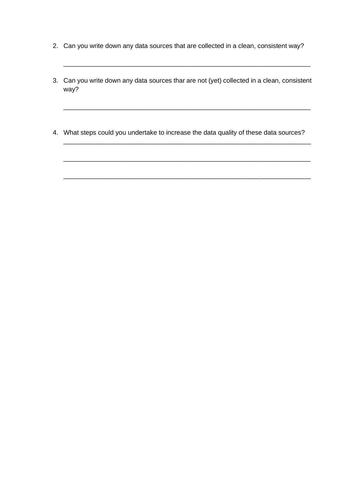- 2. Can you write down any data sources that are collected in a clean, consistent way?
- 3. Can you write down any data sources thar are not (yet) collected in a clean, consistent way?

\_\_\_\_\_\_\_\_\_\_\_\_\_\_\_\_\_\_\_\_\_\_\_\_\_\_\_\_\_\_\_\_\_\_\_\_\_\_\_\_\_\_\_\_\_\_\_\_\_\_\_\_\_\_\_\_\_\_\_\_\_\_\_\_\_\_\_\_

\_\_\_\_\_\_\_\_\_\_\_\_\_\_\_\_\_\_\_\_\_\_\_\_\_\_\_\_\_\_\_\_\_\_\_\_\_\_\_\_\_\_\_\_\_\_\_\_\_\_\_\_\_\_\_\_\_\_\_\_\_\_\_\_\_\_\_\_

\_\_\_\_\_\_\_\_\_\_\_\_\_\_\_\_\_\_\_\_\_\_\_\_\_\_\_\_\_\_\_\_\_\_\_\_\_\_\_\_\_\_\_\_\_\_\_\_\_\_\_\_\_\_\_\_\_\_\_\_\_\_\_\_\_\_\_\_

\_\_\_\_\_\_\_\_\_\_\_\_\_\_\_\_\_\_\_\_\_\_\_\_\_\_\_\_\_\_\_\_\_\_\_\_\_\_\_\_\_\_\_\_\_\_\_\_\_\_\_\_\_\_\_\_\_\_\_\_\_\_\_\_\_\_\_\_

\_\_\_\_\_\_\_\_\_\_\_\_\_\_\_\_\_\_\_\_\_\_\_\_\_\_\_\_\_\_\_\_\_\_\_\_\_\_\_\_\_\_\_\_\_\_\_\_\_\_\_\_\_\_\_\_\_\_\_\_\_\_\_\_\_\_\_\_

4. What steps could you undertake to increase the data quality of these data sources?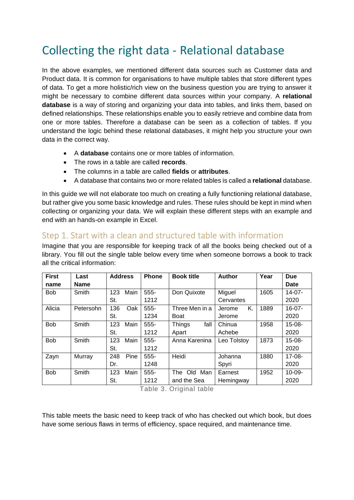## Collecting the right data - Relational database

In the above examples, we mentioned different data sources such as Customer data and Product data. It is common for organisations to have multiple tables that store different types of data. To get a more holistic/rich view on the business question you are trying to answer it might be necessary to combine different data sources within your company. A **relational database** is a way of storing and organizing your data into tables, and links them, based on defined relationships. These relationships enable you to easily retrieve and combine data from one or more tables. Therefore a database can be seen as a collection of tables. If you understand the logic behind these relational databases, it might help you structure your own data in the correct way.

- A **database** contains one or more tables of information.
- The rows in a table are called **records**.
- The columns in a table are called **fields** or **attributes**.
- A database that contains two or more related tables is called a **relational** database.

In this guide we will not elaborate too much on creating a fully functioning relational database, but rather give you some basic knowledge and rules. These rules should be kept in mind when collecting or organizing your data. We will explain these different steps with an example and end with an hands-on example in Excel.

## Step 1. Start with a clean and structured table with information

Imagine that you are responsible for keeping track of all the books being checked out of a library. You fill out the single table below every time when someone borrows a book to track all the critical information:

| <b>First</b><br>name | Last<br><b>Name</b> | <b>Address</b> | <b>Phone</b> | <b>Book title</b>     | <b>Author</b> | Year | <b>Due</b><br><b>Date</b> |
|----------------------|---------------------|----------------|--------------|-----------------------|---------------|------|---------------------------|
| <b>Bob</b>           | Smith               | Main<br>123    | $555-$       | Don Quixote           | Miguel        | 1605 | $14-07-$                  |
|                      |                     | St.            | 1212         |                       | Cervantes     |      | 2020                      |
| Alicia               | Petersohn           | 136<br>Oak     | 555-         | Three Men in a        | K.<br>Jerome  | 1889 | $16-07-$                  |
|                      |                     | St.            | 1234         | <b>Boat</b>           | Jerome        |      | 2020                      |
| <b>Bob</b>           | Smith               | 123<br>Main    | $555 -$      | <b>Things</b><br>fall | Chinua        | 1958 | $15-08-$                  |
|                      |                     | St.            | 1212         | Apart                 | Achebe        |      | 2020                      |
| <b>Bob</b>           | Smith               | 123<br>Main    | 555-         | Anna Karenina         | Leo Tolstoy   | 1873 | $15-08-$                  |
|                      |                     | St.            | 1212         |                       |               |      | 2020                      |
| Zayn                 | Murray              | 248<br>Pine    | 555-         | Heidi                 | Johanna       | 1880 | $17-08-$                  |
|                      |                     | Dr.            | 1248         |                       | Spyri         |      | 2020                      |
| <b>Bob</b>           | Smith               | Main<br>123    | 555-         | Man<br>The<br>Old     | Earnest       | 1952 | $10 - 09 -$               |
|                      |                     | St.            | 1212         | and the Sea           | Hemingway     |      | 2020                      |

Table 3. Original table

This table meets the basic need to keep track of who has checked out which book, but does have some serious flaws in terms of efficiency, space required, and maintenance time.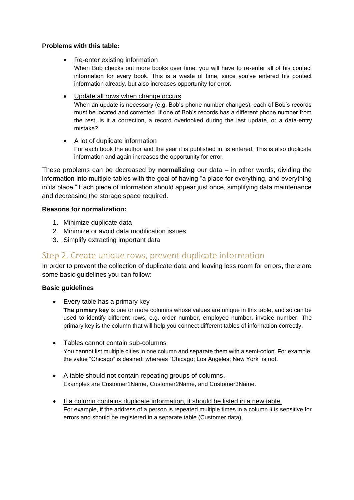#### **Problems with this table:**

• Re-enter existing information

When Bob checks out more books over time, you will have to re-enter all of his contact information for every book. This is a waste of time, since you've entered his contact information already, but also increases opportunity for error.

• Update all rows when change occurs

When an update is necessary (e.g. Bob's phone number changes), each of Bob's records must be located and corrected. If one of Bob's records has a different phone number from the rest, is it a correction, a record overlooked during the last update, or a data-entry mistake?

• A lot of duplicate information

For each book the author and the year it is published in, is entered. This is also duplicate information and again increases the opportunity for error.

These problems can be decreased by **normalizing** our data – in other words, dividing the information into multiple tables with the goal of having "a place for everything, and everything in its place." Each piece of information should appear just once, simplifying data maintenance and decreasing the storage space required.

#### **Reasons for normalization:**

- 1. Minimize duplicate data
- 2. Minimize or avoid data modification issues
- 3. Simplify extracting important data

## Step 2. Create unique rows, prevent duplicate information

In order to prevent the collection of duplicate data and leaving less room for errors, there are some basic guidelines you can follow:

#### **Basic guidelines**

- Every table has a primary key **The primary key** is one or more columns whose values are unique in this table, and so can be used to identify different rows, e.g. order number, employee number, invoice number. The primary key is the column that will help you connect different tables of information correctly.
- Tables cannot contain sub-columns You cannot list multiple cities in one column and separate them with a semi-colon. For example, the value "Chicago" is desired; whereas "Chicago; Los Angeles; New York" is not.
- A table should not contain repeating groups of columns. Examples are Customer1Name, Customer2Name, and Customer3Name.
- If a column contains duplicate information, it should be listed in a new table. For example, if the address of a person is repeated multiple times in a column it is sensitive for errors and should be registered in a separate table (Customer data).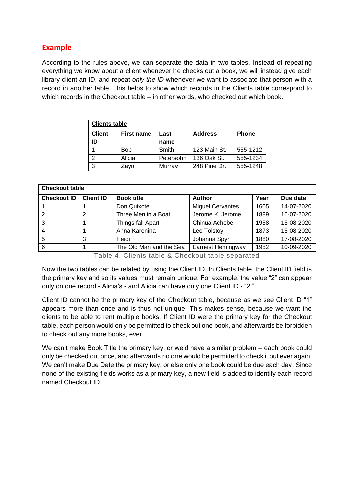### **Example**

According to the rules above, we can separate the data in two tables. Instead of repeating everything we know about a client whenever he checks out a book, we will instead give each library client an ID, and repeat *only the ID* whenever we want to associate that person with a record in another table. This helps to show which records in the Clients table correspond to which records in the Checkout table – in other words, who checked out which book.

| <b>Clients table</b> |                   |              |              |          |  |  |  |  |  |
|----------------------|-------------------|--------------|--------------|----------|--|--|--|--|--|
| <b>Client</b>        | <b>First name</b> | <b>Phone</b> |              |          |  |  |  |  |  |
| ID                   |                   | name         |              |          |  |  |  |  |  |
|                      | <b>Bob</b>        | Smith        | 123 Main St. | 555-1212 |  |  |  |  |  |
| っ                    | Alicia            | Petersohn    | 136 Oak St.  | 555-1234 |  |  |  |  |  |
| 3                    | Zavn              | Murray       | 248 Pine Dr. | 555-1248 |  |  |  |  |  |

| <b>Checkout table</b> |                  |                         |                          |      |            |  |  |  |  |  |
|-----------------------|------------------|-------------------------|--------------------------|------|------------|--|--|--|--|--|
| <b>Checkout ID</b>    | <b>Client ID</b> | <b>Book title</b>       | <b>Author</b>            | Year | Due date   |  |  |  |  |  |
|                       |                  | Don Quixote             | <b>Miguel Cervantes</b>  | 1605 | 14-07-2020 |  |  |  |  |  |
| 2                     | 2                | Three Men in a Boat     | Jerome K. Jerome         | 1889 | 16-07-2020 |  |  |  |  |  |
| 3                     |                  | Things fall Apart       | Chinua Achebe            | 1958 | 15-08-2020 |  |  |  |  |  |
| $\overline{4}$        |                  | Anna Karenina           | Leo Tolstoy              | 1873 | 15-08-2020 |  |  |  |  |  |
| 5                     | 3                | Heidi                   | Johanna Spyri            | 1880 | 17-08-2020 |  |  |  |  |  |
| 6                     |                  | The Old Man and the Sea | <b>Earnest Hemingway</b> | 1952 | 10-09-2020 |  |  |  |  |  |

Table 4. Clients table & Checkout table separated

Now the two tables can be related by using the Client ID. In Clients table, the Client ID field is the primary key and so its values must remain unique. For example, the value "2" can appear only on one record - Alicia's - and Alicia can have only one Client ID - "2."

Client ID cannot be the primary key of the Checkout table, because as we see Client ID "1" appears more than once and is thus not unique. This makes sense, because we want the clients to be able to rent multiple books. If Client ID were the primary key for the Checkout table, each person would only be permitted to check out one book, and afterwards be forbidden to check out any more books, ever.

We can't make Book Title the primary key, or we'd have a similar problem – each book could only be checked out once, and afterwards no one would be permitted to check it out ever again. We can't make Due Date the primary key, or else only one book could be due each day. Since none of the existing fields works as a primary key, a new field is added to identify each record named Checkout ID.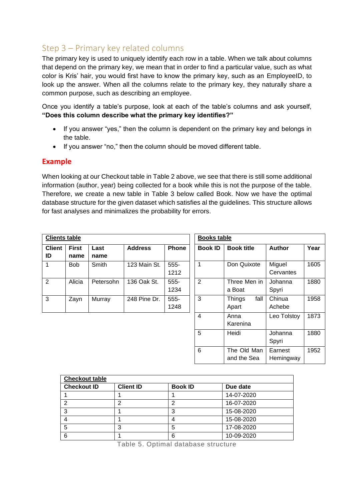## Step 3 – Primary key related columns

The primary key is used to uniquely identify each row in a table. When we talk about columns that depend on the primary key, we mean that in order to find a particular value, such as what color is Kris' hair, you would first have to know the primary key, such as an EmployeeID, to look up the answer. When all the columns relate to the primary key, they naturally share a common purpose, such as describing an employee.

Once you identify a table's purpose, look at each of the table's columns and ask yourself, **"Does this column describe what the primary key identifies?"**

- If you answer "yes," then the column is dependent on the primary key and belongs in the table.
- If you answer "no," then the column should be moved different table.

#### **Example**

When looking at our Checkout table in Table 2 above, we see that there is still some additional information (author, year) being collected for a book while this is not the purpose of the table. Therefore, we create a new table in Table 3 below called Book. Now we have the optimal database structure for the given dataset which satisfies al the guidelines. This structure allows for fast analyses and minimalizes the probability for errors.

| <b>Clients table</b> |                      |              |                | <b>Books table</b> |                |                                |                      |      |
|----------------------|----------------------|--------------|----------------|--------------------|----------------|--------------------------------|----------------------|------|
| <b>Client</b><br>ID  | <b>First</b><br>name | Last<br>name | <b>Address</b> | <b>Phone</b>       | <b>Book ID</b> | <b>Book title</b>              | <b>Author</b>        | Year |
| 1                    | <b>Bob</b>           | <b>Smith</b> | 123 Main St.   | 555-<br>1212       | 1              | Don Quixote                    | Miguel<br>Cervantes  | 1605 |
| $\overline{2}$       | Alicia               | Petersohn    | 136 Oak St.    | $555 -$<br>1234    | $\overline{2}$ | Three Men in<br>a Boat         | Johanna<br>Spyri     | 1880 |
| 3                    | Zayn                 | Murray       | 248 Pine Dr.   | $555 -$<br>1248    | 3              | fall<br><b>Things</b><br>Apart | Chinua<br>Achebe     | 1958 |
|                      |                      |              |                |                    | $\overline{4}$ | Anna<br>Karenina               | Leo Tolstoy          | 1873 |
|                      |                      |              |                |                    | 5              | Heidi                          | Johanna<br>Spyri     | 1880 |
|                      |                      |              |                |                    | 6              | The Old Man<br>and the Sea     | Earnest<br>Hemingway | 1952 |

| <b>Checkout table</b> |                  |                |            |  |  |  |  |  |  |  |
|-----------------------|------------------|----------------|------------|--|--|--|--|--|--|--|
| <b>Checkout ID</b>    | <b>Client ID</b> | <b>Book ID</b> | Due date   |  |  |  |  |  |  |  |
|                       |                  |                | 14-07-2020 |  |  |  |  |  |  |  |
| ົ                     |                  | ŋ              | 16-07-2020 |  |  |  |  |  |  |  |
| 3                     |                  |                | 15-08-2020 |  |  |  |  |  |  |  |
|                       |                  |                | 15-08-2020 |  |  |  |  |  |  |  |
| 5                     | 3                | 5              | 17-08-2020 |  |  |  |  |  |  |  |
| 6                     |                  | 6              | 10-09-2020 |  |  |  |  |  |  |  |

Table 5. Optimal database structure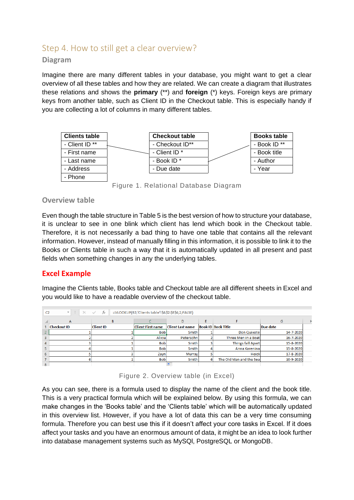## Step 4. How to still get a clear overview?

#### **Diagram**

Imagine there are many different tables in your database, you might want to get a clear overview of all these tables and how they are related. We can create a diagram that illustrates these relations and shows the **primary** (\*\*) and **foreign** (\*) keys. Foreign keys are primary keys from another table, such as Client ID in the Checkout table. This is especially handy if you are collecting a lot of columns in many different tables.



Figure 1. Relational Database Diagram

#### **Overview table**

Even though the table structure in Table 5 is the best version of how to structure your database, it is unclear to see in one blink which client has lend which book in the Checkout table. Therefore, it is not necessarily a bad thing to have one table that contains all the relevant information. However, instead of manually filling in this information, it is possible to link it to the Books or Clients table in such a way that it is automatically updated in all present and past fields when something changes in any the underlying tables.

#### **Excel Example**

Imagine the Clients table, Books table and Checkout table are all different sheets in Excel and you would like to have a readable overview of the checkout table.

| C <sub>2</sub> | $f_x$<br>÷<br>=VLOOKUP(B2;'Clients table'!\$A\$2:\$E\$4;2;FALSE)<br>$\times$<br>$\overline{\phantom{a}}$<br>$\checkmark$ |                  |                          |                         |    |                           |           |   |  |  |  |  |
|----------------|--------------------------------------------------------------------------------------------------------------------------|------------------|--------------------------|-------------------------|----|---------------------------|-----------|---|--|--|--|--|
|                | A                                                                                                                        | B                |                          | D                       | Ε  |                           | G         | ۲ |  |  |  |  |
|                | <b>Checkout ID</b>                                                                                                       | <b>Client ID</b> | <b>Client First name</b> | <b>Client Last name</b> |    | <b>Book ID Book Title</b> | Due date  |   |  |  |  |  |
|                |                                                                                                                          |                  | <b>Bob</b>               | Smith                   |    | Don Quixote               | 14-7-2020 |   |  |  |  |  |
|                |                                                                                                                          |                  | Alicia                   | Petersohn               |    | Three Men in a Boat       | 16-7-2020 |   |  |  |  |  |
|                |                                                                                                                          |                  | <b>Bob</b>               | Smith                   |    | <b>Things fall Apart</b>  | 15-8-2020 |   |  |  |  |  |
|                |                                                                                                                          |                  | <b>Bob</b>               | Smith                   |    | Anna Kareninal            | 15-8-2020 |   |  |  |  |  |
| 6              |                                                                                                                          |                  | Zayn                     | Murray                  |    | Heidi                     | 17-8-2020 |   |  |  |  |  |
|                |                                                                                                                          |                  | <b>Bob</b>               | Smith                   | 61 | The Old Man and the Seal  | 10-9-2020 |   |  |  |  |  |
| $\bullet$      |                                                                                                                          |                  |                          | <b>FO</b>               |    |                           |           |   |  |  |  |  |

Figure 2. Overview table (in Excel)

As you can see, there is a formula used to display the name of the client and the book title. This is a very practical formula which will be explained below. By using this formula, we can make changes in the 'Books table' and the 'Clients table' which will be automatically updated in this overview list. However, if you have a lot of data this can be a very time consuming formula. Therefore you can best use this if it doesn't affect your core tasks in Excel. If it does affect your tasks and you have an enormous amount of data, it might be an idea to look further into database management systems such as MySQl, PostgreSQL or MongoDB.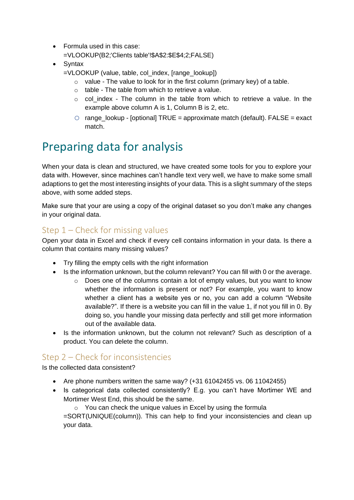- Formula used in this case: =VLOOKUP(B2;'Clients table'!\$A\$2:\$E\$4;2;FALSE)
- Syntax
	- =VLOOKUP (value, table, col\_index, [range\_lookup])
		- $\circ$  value The value to look for in the first column (primary key) of a table.
		- $\circ$  table The table from which to retrieve a value.
		- $\circ$  col index The column in the table from which to retrieve a value. In the example above column A is 1, Column B is 2, etc.
		- $\circ$  range\_lookup [optional] TRUE = approximate match (default). FALSE = exact match.

## Preparing data for analysis

When your data is clean and structured, we have created some tools for you to explore your data with. However, since machines can't handle text very well, we have to make some small adaptions to get the most interesting insights of your data. This is a slight summary of the steps above, with some added steps.

Make sure that your are using a copy of the original dataset so you don't make any changes in your original data.

## Step 1 – Check for missing values

Open your data in Excel and check if every cell contains information in your data. Is there a column that contains many missing values?

- Try filling the empty cells with the right information
- Is the information unknown, but the column relevant? You can fill with 0 or the average.
	- $\circ$  Does one of the columns contain a lot of empty values, but you want to know whether the information is present or not? For example, you want to know whether a client has a website yes or no, you can add a column "Website available?". If there is a website you can fill in the value 1, if not you fill in 0. By doing so, you handle your missing data perfectly and still get more information out of the available data.
- Is the information unknown, but the column not relevant? Such as description of a product. You can delete the column.

## Step 2 – Check for inconsistencies

Is the collected data consistent?

- Are phone numbers written the same way?  $(+31 61042455$  vs. 06 11042455)
- Is categorical data collected consistently? E.g. you can't have Mortimer WE and Mortimer West End, this should be the same.

 $\circ$  You can check the unique values in Excel by using the formula =SORT(UNIQUE(column)). This can help to find your inconsistencies and clean up your data.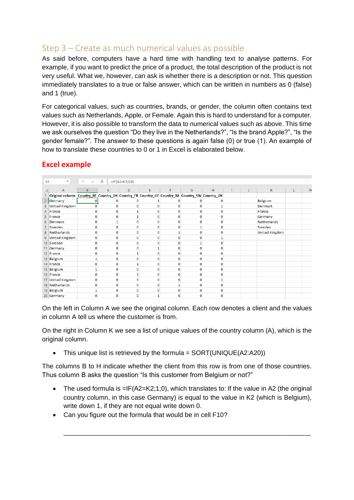## Step 3 – Create as much numerical values as possible

As said before, computers have a hard time with handling text to analyse patterns. For example, if you want to predict the price of a product, the total description of the product is not very useful. What we, however, can ask is whether there is a description or not. This question immediately translates to a true or false answer, which can be written in numbers as 0 (false) and 1 (true).

For categorical values, such as countries, brands, or gender, the column often contains text values such as Netherlands, Apple, or Female. Again this is hard to understand for a computer. However, it is also possible to transform the data to numerical values such as above. This time we ask ourselves the question "Do they live in the Netherlands?", "Is the brand Apple?", "Is the gender female?". The answer to these questions is again false (0) or true (1). An example of how to translate these countries to 0 or 1 in Excel is elaborated below.

#### **Excel example**

| <b>B2</b> | $\mathbf{v}$ .<br>$\mathbb{R}^n$                                                                           | $\checkmark$<br>$\times$ | fx          | $=IF(A2=K2;1;0)$ |   |   |          |   |   |   |                       |   |   |
|-----------|------------------------------------------------------------------------------------------------------------|--------------------------|-------------|------------------|---|---|----------|---|---|---|-----------------------|---|---|
|           | A                                                                                                          | B                        | c           | D                | E | F | G        | H | T | J | $\mathsf{K}$          | L | M |
|           | Original column   Country_BE   Country_DK   Country_FR   Country_GE   Country_NL   Country_SW   Country_UK |                          |             |                  |   |   |          |   |   |   |                       |   |   |
| 2         | Germany                                                                                                    |                          |             |                  |   |   |          |   |   |   | <b>Belgium</b>        |   |   |
| 3         | <b>United Kingdom</b>                                                                                      |                          | 0           | 0                | 0 |   |          |   |   |   | <b>Denmark</b>        |   |   |
| 4         | France                                                                                                     |                          | n           |                  | o |   |          |   |   |   | France                |   |   |
| 5         | France                                                                                                     |                          | 0           |                  | 0 |   |          |   |   |   | Germany               |   |   |
| 6         | Denmark                                                                                                    |                          |             | o                | 0 |   |          |   |   |   | <b>Netherlands</b>    |   |   |
|           | Sweden                                                                                                     |                          | 0           | 0                | 0 |   |          |   |   |   | Sweden                |   |   |
|           | 8 Netherlands                                                                                              |                          | 0           | 0                | 0 |   |          |   |   |   | <b>United Kingdom</b> |   |   |
|           | 9 United Kingdom                                                                                           |                          | $\Omega$    | 0                | 0 |   |          |   |   |   |                       |   |   |
|           | 10 Sweden                                                                                                  |                          | $\mathbf 0$ | 0                | 0 |   |          |   |   |   |                       |   |   |
|           | 11 Germany                                                                                                 |                          | 0           | 0                |   |   |          |   |   |   |                       |   |   |
|           | 12 France                                                                                                  |                          | $\Omega$    |                  | 0 |   |          |   |   |   |                       |   |   |
|           | 13 Belgium                                                                                                 |                          | $\mathbf 0$ | 0                | 0 |   |          |   |   |   |                       |   |   |
|           | 14 France                                                                                                  |                          | $\Omega$    |                  | 0 |   |          |   |   |   |                       |   |   |
|           | 15 Belgium                                                                                                 |                          | $\mathbf 0$ | 0                | 0 |   |          |   |   |   |                       |   |   |
|           | 16 France                                                                                                  |                          | 0           |                  | 0 |   |          |   |   |   |                       |   |   |
|           | 17 United Kingdom                                                                                          |                          | 0           | 0                | o |   |          |   |   |   |                       |   |   |
|           | 18 Netherlands                                                                                             |                          | $\mathbf 0$ | 0                | 0 |   |          |   |   |   |                       |   |   |
|           | 19 Belgium                                                                                                 |                          | $\mathbf 0$ | $\mathbf{0}$     | 0 |   |          |   |   |   |                       |   |   |
|           | 20 Germany                                                                                                 | $\mathbf{0}$             | 0           | $\mathbf{0}$     | 1 | O | $\Omega$ | O |   |   |                       |   |   |

On the left in Column A we see the original column. Each row denotes a client and the values in column A tell us where the customer is from.

On the right in Column K we see a list of unique values of the country column (A), which is the original column.

• This unique list is retrieved by the formula =  $SORT(UNIQUE(A2:A20))$ 

The columns B to H indicate whether the client from this row is from one of those countries. Thus column B asks the question "Is this customer from Belgium or not?"

• The used formula is  $=IF(A2=K2;1;0)$ , which translates to: If the value in A2 (the original country column, in this case Germany) is equal to the value in K2 (which is Belgium), write down 1, if they are not equal write down 0.

\_\_\_\_\_\_\_\_\_\_\_\_\_\_\_\_\_\_\_\_\_\_\_\_\_\_\_\_\_\_\_\_\_\_\_\_\_\_\_\_\_\_\_\_\_\_\_\_\_\_\_\_\_\_\_\_\_\_\_\_\_\_\_\_\_\_\_\_

• Can you figure out the formula that would be in cell F10?